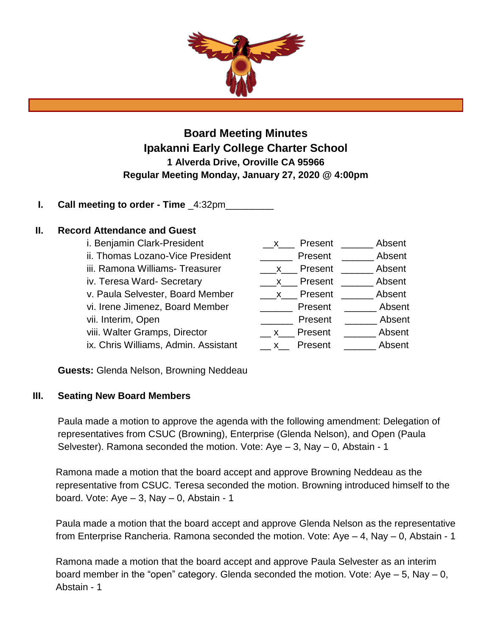

**Board Meeting Minutes Ipakanni Early College Charter School 1 Alverda Drive, Oroville CA 95966 Regular Meeting Monday, January 27, 2020 @ 4:00pm**

**I. Call meeting to order - Time** \_4:32pm\_\_\_\_\_\_\_\_\_

## **II. Record Attendance and Guest**

i. Benjamin Clark-President ii. Thomas Lozano-Vice President iii. Ramona Williams- Treasurer iv. Teresa Ward- Secretary v. Paula Selvester, Board Member vi. Irene Jimenez, Board Member vii. Interim, Open viii. Walter Gramps, Director ix. Chris Williams, Admin. Assistant

| Present<br>$\mathsf{X}$ | Absent |
|-------------------------|--------|
| Present                 | Absent |
| Present<br>X            | Absent |
| Present<br>$\mathsf{x}$ | Absent |
| Present<br>$\mathsf{X}$ | Absent |
| Present                 | Absent |
| Present                 | Absent |
| Present<br><b>X</b>     | Absent |
| Present<br>X            | Absent |

**Guests:** Glenda Nelson, Browning Neddeau

# **III. Seating New Board Members**

Paula made a motion to approve the agenda with the following amendment: Delegation of representatives from CSUC (Browning), Enterprise (Glenda Nelson), and Open (Paula Selvester). Ramona seconded the motion. Vote: Aye – 3, Nay – 0, Abstain - 1

Ramona made a motion that the board accept and approve Browning Neddeau as the representative from CSUC. Teresa seconded the motion. Browning introduced himself to the board. Vote:  $Aye - 3$ ,  $Nay - 0$ , Abstain - 1

Paula made a motion that the board accept and approve Glenda Nelson as the representative from Enterprise Rancheria. Ramona seconded the motion. Vote: Aye – 4, Nay – 0, Abstain - 1

Ramona made a motion that the board accept and approve Paula Selvester as an interim board member in the "open" category. Glenda seconded the motion. Vote:  $Aye - 5$ , Nay  $- 0$ , Abstain - 1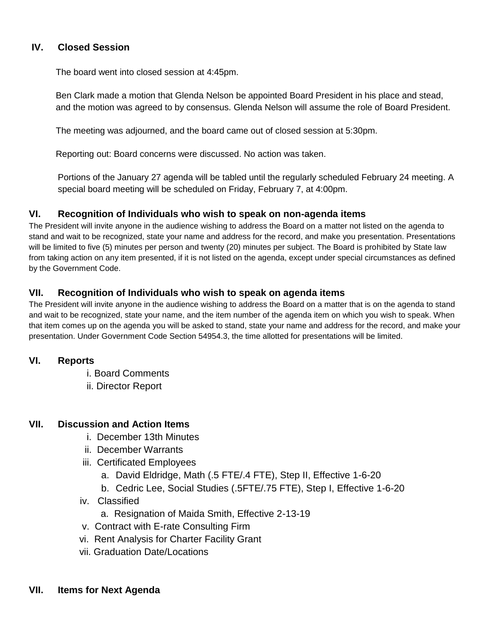## **IV. Closed Session**

The board went into closed session at 4:45pm.

Ben Clark made a motion that Glenda Nelson be appointed Board President in his place and stead, and the motion was agreed to by consensus. Glenda Nelson will assume the role of Board President.

The meeting was adjourned, and the board came out of closed session at 5:30pm.

Reporting out: Board concerns were discussed. No action was taken.

Portions of the January 27 agenda will be tabled until the regularly scheduled February 24 meeting. A special board meeting will be scheduled on Friday, February 7, at 4:00pm.

## **VI. Recognition of Individuals who wish to speak on non-agenda items**

The President will invite anyone in the audience wishing to address the Board on a matter not listed on the agenda to stand and wait to be recognized, state your name and address for the record, and make you presentation. Presentations will be limited to five (5) minutes per person and twenty (20) minutes per subject. The Board is prohibited by State law from taking action on any item presented, if it is not listed on the agenda, except under special circumstances as defined by the Government Code.

## **VII. Recognition of Individuals who wish to speak on agenda items**

The President will invite anyone in the audience wishing to address the Board on a matter that is on the agenda to stand and wait to be recognized, state your name, and the item number of the agenda item on which you wish to speak. When that item comes up on the agenda you will be asked to stand, state your name and address for the record, and make your presentation. Under Government Code Section 54954.3, the time allotted for presentations will be limited.

## **VI. Reports**

- i. Board Comments
- ii. Director Report

## **VII. Discussion and Action Items**

- i. December 13th Minutes
- ii. December Warrants
- iii. Certificated Employees
	- a. David Eldridge, Math (.5 FTE/.4 FTE), Step II, Effective 1-6-20
	- b. Cedric Lee, Social Studies (.5FTE/.75 FTE), Step I, Effective 1-6-20
- iv. Classified
	- a. Resignation of Maida Smith, Effective 2-13-19
- v. Contract with E-rate Consulting Firm
- vi. Rent Analysis for Charter Facility Grant
- vii. Graduation Date/Locations